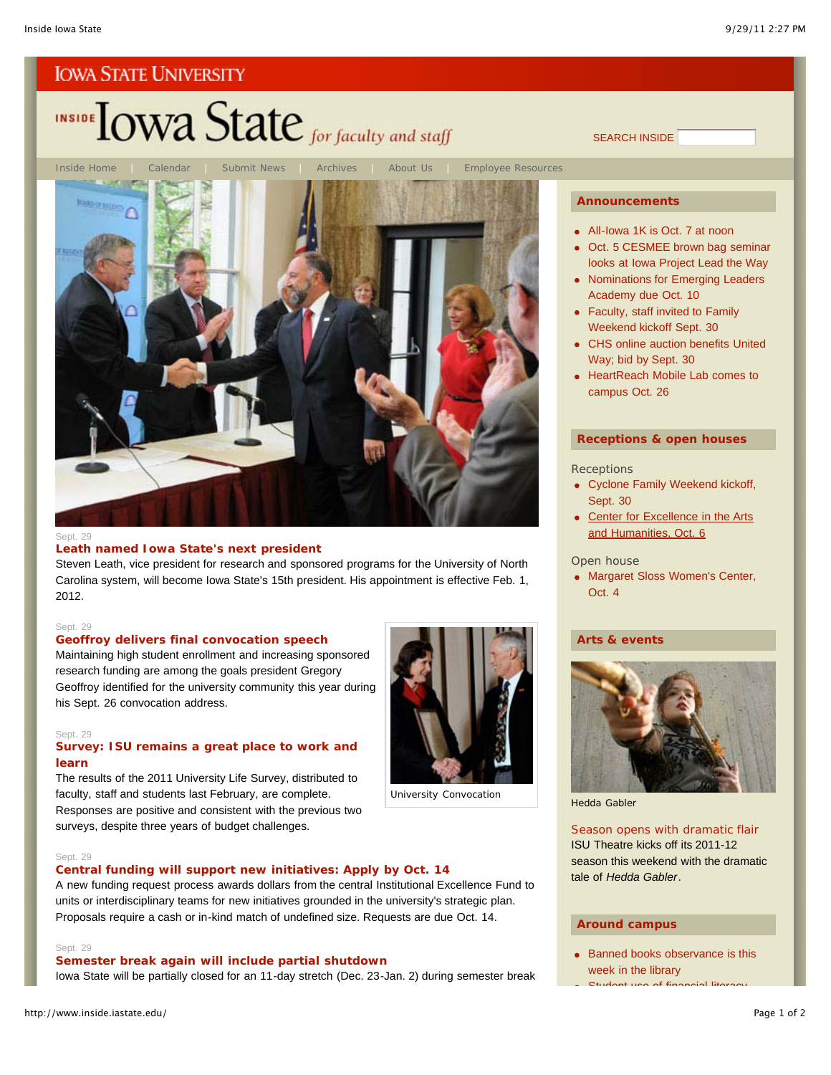# INSIDE TOWA State for faculty and staff



### Sept. 29

### **Leath named Iowa State's next president**

Steven Leath, vice president for research and sponsored programs for the University of North Carolina system, will become Iowa State's 15th president. His appointment is effective Feb. 1, 2012.

### Sept. 29

# **Geoffroy delivers final convocation speech** Maintaining high student enrollment and increasing sponsored research funding are among the goals president Gregory

Geoffroy identified for the university community this year during his Sept. 26 convocation address.

### Sept. 29

### **Survey: ISU remains a great place to work and learn**

The results of the 2011 University Life Survey, distributed to faculty, staff and students last February, are complete. Responses are positive and consistent with the previous two surveys, despite three years of budget challenges.



University Convocation

### Sept. 29

### **Central funding will support new initiatives: Apply by Oct. 14**

A new funding request process awards dollars from the central Institutional Excellence Fund to units or interdisciplinary teams for new initiatives grounded in the university's strategic plan. Proposals require a cash or in-kind match of undefined size. Requests are due Oct. 14.

### Sept. 29

### **Semester break again will include partial shutdown**

Iowa State will be partially closed for an 11-day stretch (Dec. 23-Jan. 2) during semester break

SEARCH INSIDE

### **Announcements**

- All-Iowa 1K is Oct. 7 at noon
- Oct. 5 CESMEE brown bag seminar looks at Iowa Project Lead the Way
- Nominations for Emerging Leaders Academy due Oct. 10
- Faculty, staff invited to Family Weekend kickoff Sept. 30
- CHS online auction benefits United Way; bid by Sept. 30
- **HeartReach Mobile Lab comes to** campus Oct. 26

### **Receptions & open houses**

### **Receptions**

- Cyclone Family Weekend kickoff, Sept. 30
- Center for Excellence in the Arts and Humanities, Oct. 6

### Open house

• Margaret Sloss Women's Center, Oct. 4

### **Arts & events**



*Hedda Gabler*

### Season opens with dramatic flair

ISU Theatre kicks off its 2011-12 season this weekend with the dramatic tale of *Hedda Gabler*.

### **Around campus**

• Banned books observance is this week in the library Student use of financial literacy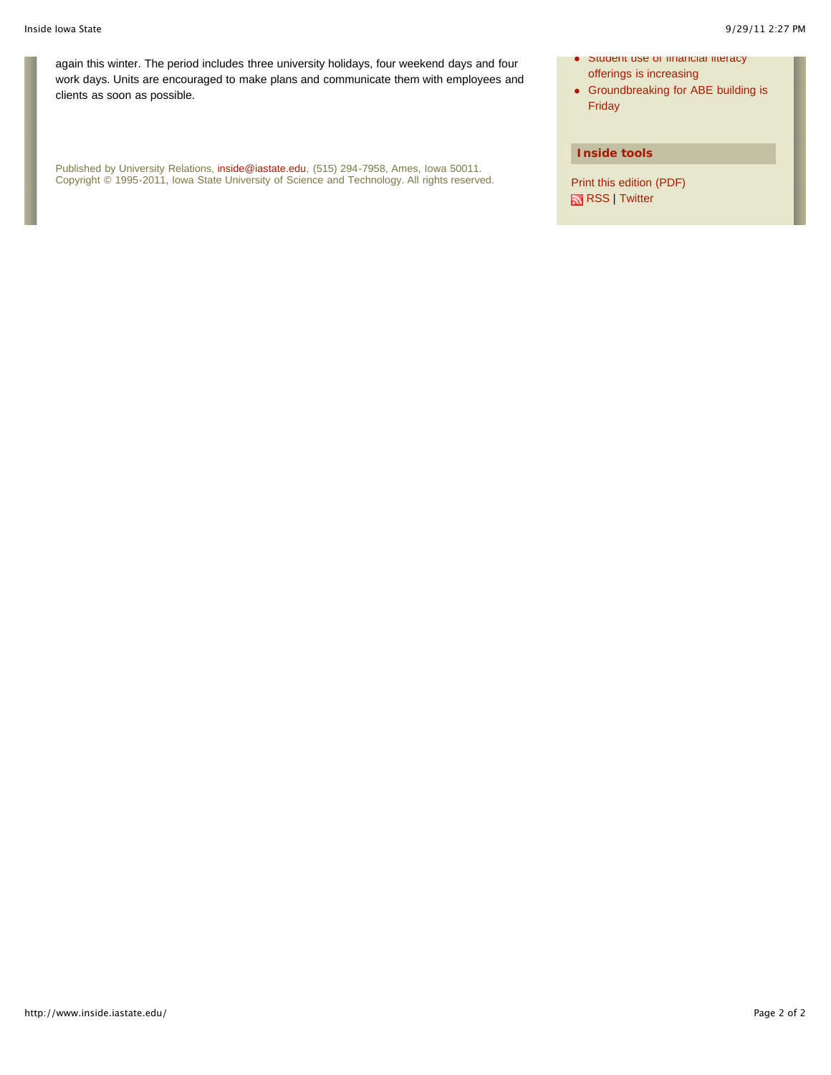again this winter. The period includes three university holidays, four weekend days and four work days. Units are encouraged to make plans and communicate them with employees and clients as soon as possible.

Published by University Relations, inside@iastate.edu, (515) 294-7958, Ames, Iowa 50011. Copyright © 1995-2011, Iowa State University of Science and Technology. All rights reserved.

- $\bullet$  student use of intancial literacy offerings is increasing
- Groundbreaking for ABE building is Friday

### **Inside tools**

Print this edition (PDF) RSS | Twitter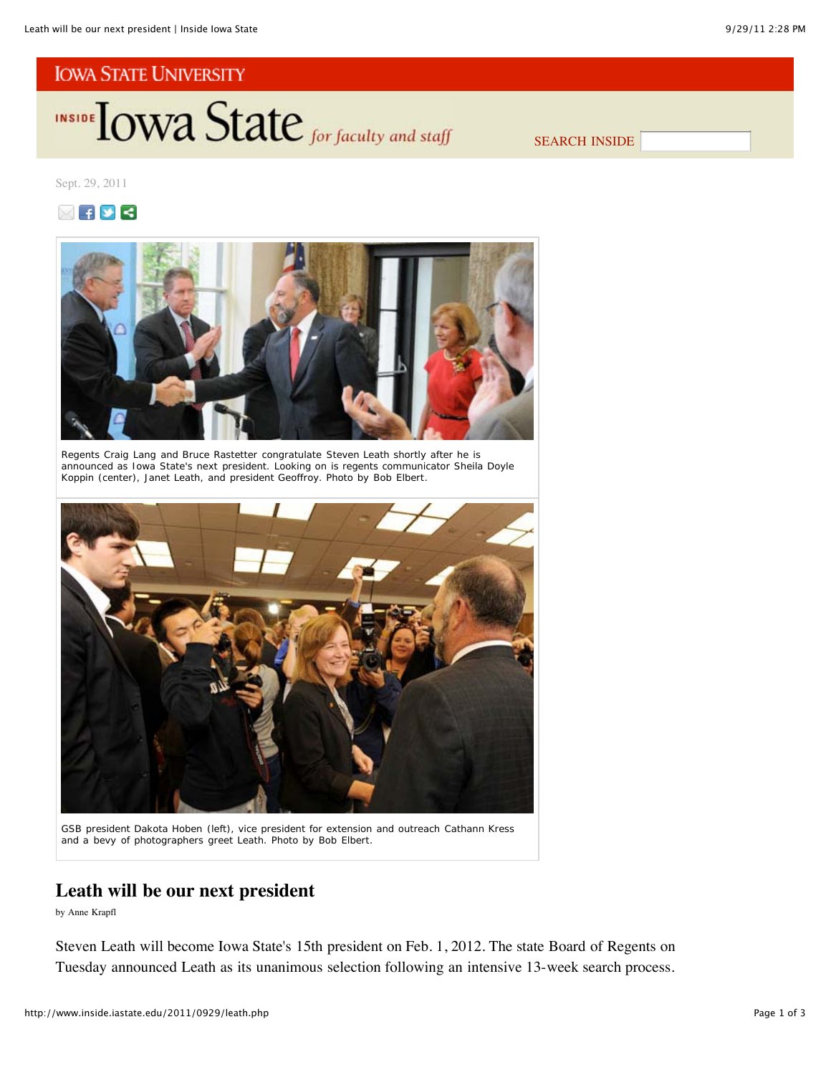INSIDE TOWA State for faculty and staff

SEARCH INSIDE

Sept. 29, 2011





Regents Craig Lang and Bruce Rastetter congratulate Steven Leath shortly after he is announced as Iowa State's next president. Looking on is regents communicator Sheila Doyle Koppin (center), Janet Leath, and president Geoffroy. *Photo by Bob Elbert*.



GSB president Dakota Hoben (left), vice president for extension and outreach Cathann Kress and a bevy of photographers greet Leath. *Photo by Bob Elbert*.

# **Leath will be our next president**

by Anne Krapfl

Steven Leath will become Iowa State's 15th president on Feb. 1, 2012. The state Board of Regents on Tuesday announced Leath as its unanimous selection following an intensive 13-week search process.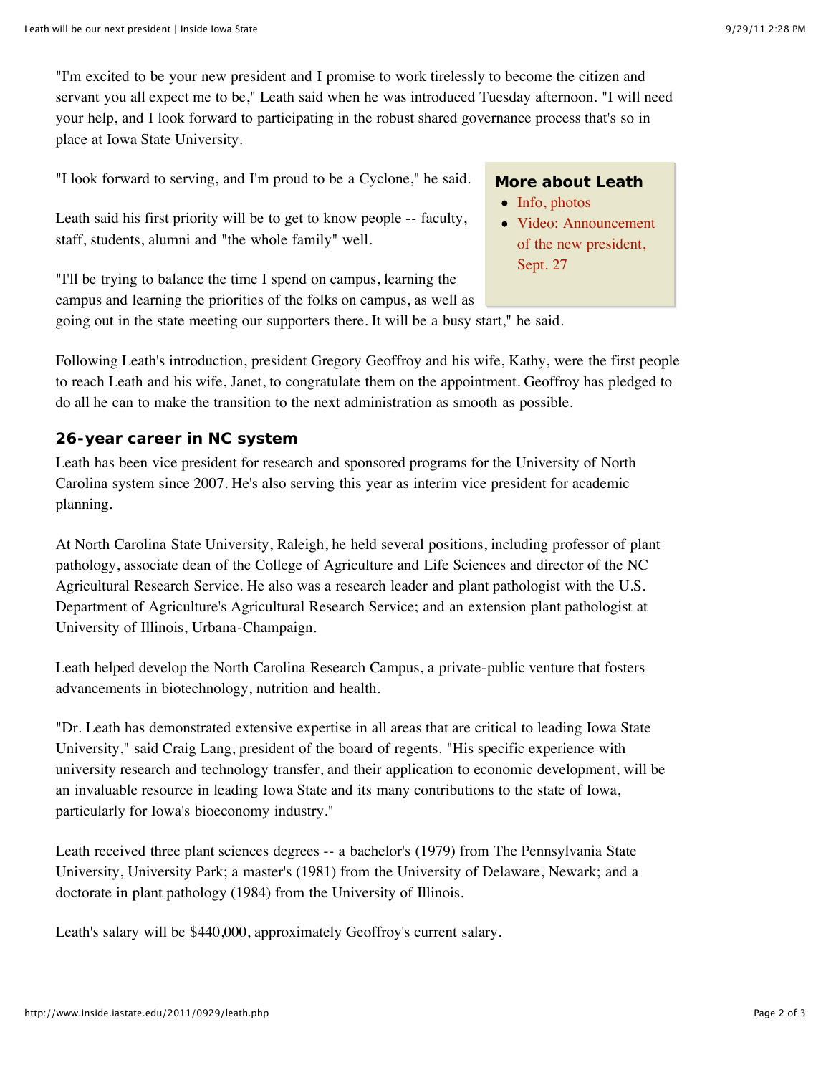"I'm excited to be your new president and I promise to work tirelessly to become the citizen and servant you all expect me to be," Leath said when he was introduced Tuesday afternoon. "I will need your help, and I look forward to participating in the robust shared governance process that's so in place at Iowa State University.

"I look forward to serving, and I'm proud to be a Cyclone," he said.

Leath said his first priority will be to get to know people -- faculty, staff, students, alumni and "the whole family" well.

# **More about Leath**

- Info, photos
- Video: Announcement of the new president, Sept. 27

"I'll be trying to balance the time I spend on campus, learning the campus and learning the priorities of the folks on campus, as well as going out in the state meeting our supporters there. It will be a busy start," he said.

Following Leath's introduction, president Gregory Geoffroy and his wife, Kathy, were the first people to reach Leath and his wife, Janet, to congratulate them on the appointment. Geoffroy has pledged to do all he can to make the transition to the next administration as smooth as possible.

# **26-year career in NC system**

Leath has been vice president for research and sponsored programs for the University of North Carolina system since 2007. He's also serving this year as interim vice president for academic planning.

At North Carolina State University, Raleigh, he held several positions, including professor of plant pathology, associate dean of the College of Agriculture and Life Sciences and director of the NC Agricultural Research Service. He also was a research leader and plant pathologist with the U.S. Department of Agriculture's Agricultural Research Service; and an extension plant pathologist at University of Illinois, Urbana-Champaign.

Leath helped develop the North Carolina Research Campus, a private-public venture that fosters advancements in biotechnology, nutrition and health.

"Dr. Leath has demonstrated extensive expertise in all areas that are critical to leading Iowa State University," said Craig Lang, president of the board of regents. "His specific experience with university research and technology transfer, and their application to economic development, will be an invaluable resource in leading Iowa State and its many contributions to the state of Iowa, particularly for Iowa's bioeconomy industry."

Leath received three plant sciences degrees -- a bachelor's (1979) from The Pennsylvania State University, University Park; a master's (1981) from the University of Delaware, Newark; and a doctorate in plant pathology (1984) from the University of Illinois.

Leath's salary will be \$440,000, approximately Geoffroy's current salary.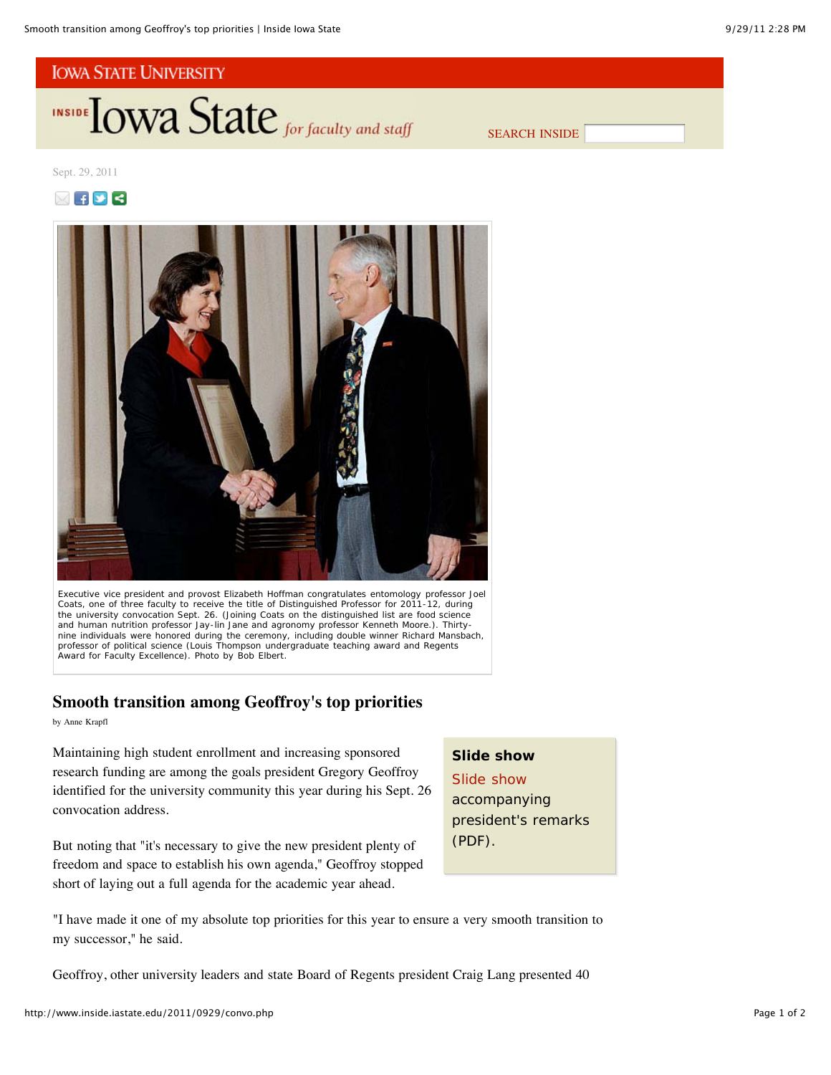**INSIDE TOWA State** for faculty and staff

SEARCH INSIDE

# Sept. 29, 2011

# $\boxtimes$   $\blacksquare$   $\blacksquare$



Executive vice president and provost Elizabeth Hoffman congratulates entomology professor Joel Coats, one of three faculty to receive the title of Distinguished Professor for 2011-12, during the university convocation Sept. 26. (Joining Coats on the distinguished list are food science and human nutrition professor Jay-lin Jane and agronomy professor Kenneth Moore.). Thirtynine individuals were honored during the ceremony, including double winner Richard Mansbach, professor of political science (Louis Thompson undergraduate teaching award and Regents Award for Faculty Excellence). *Photo by Bob Elbert*.

# **Smooth transition among Geoffroy's top priorities**

by Anne Krapfl

Maintaining high student enrollment and increasing sponsored research funding are among the goals president Gregory Geoffroy identified for the university community this year during his Sept. 26 convocation address.

But noting that "it's necessary to give the new president plenty of freedom and space to establish his own agenda," Geoffroy stopped short of laying out a full agenda for the academic year ahead.

# **Slide show**

Slide show accompanying president's remarks (PDF).

"I have made it one of my absolute top priorities for this year to ensure a very smooth transition to my successor," he said.

Geoffroy, other university leaders and state Board of Regents president Craig Lang presented 40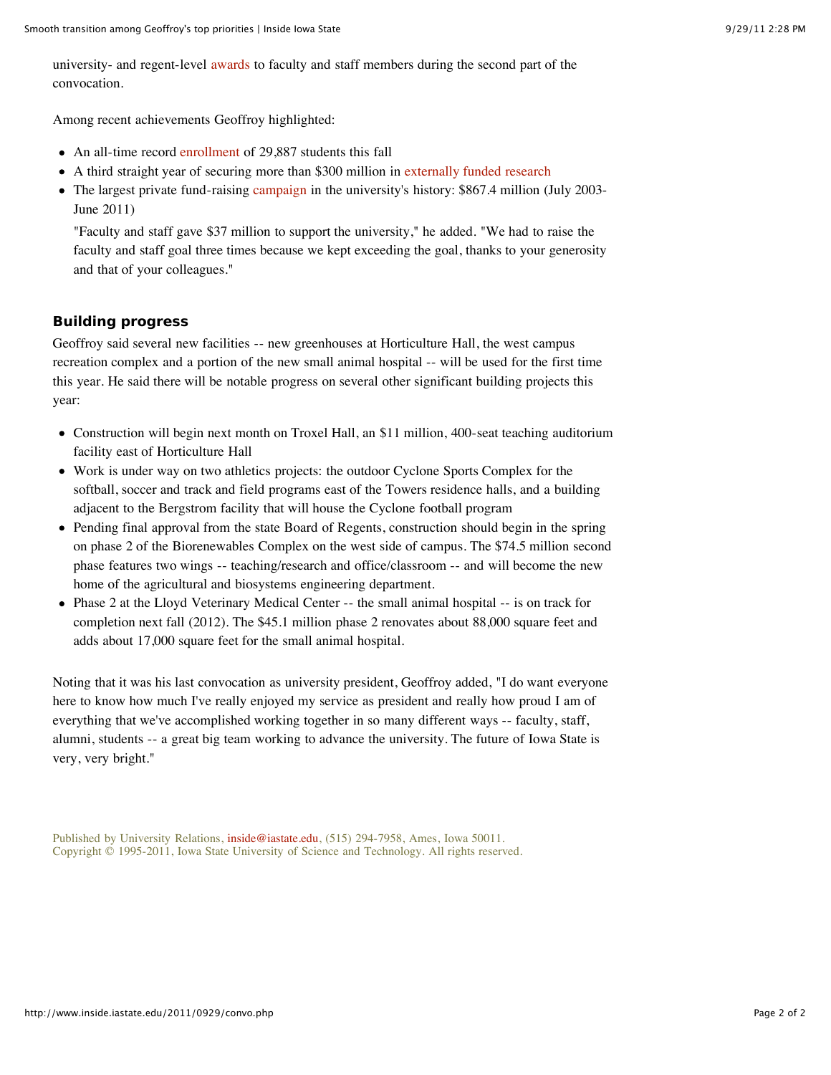university- and regent-level awards to faculty and staff members during the second part of the convocation.

Among recent achievements Geoffroy highlighted:

- An all-time record enrollment of 29,887 students this fall
- A third straight year of securing more than \$300 million in externally funded research
- The largest private fund-raising campaign in the university's history: \$867.4 million (July 2003-June 2011)

"Faculty and staff gave \$37 million to support the university," he added. "We had to raise the faculty and staff goal three times because we kept exceeding the goal, thanks to your generosity and that of your colleagues."

# **Building progress**

Geoffroy said several new facilities -- new greenhouses at Horticulture Hall, the west campus recreation complex and a portion of the new small animal hospital -- will be used for the first time this year. He said there will be notable progress on several other significant building projects this year:

- Construction will begin next month on Troxel Hall, an \$11 million, 400-seat teaching auditorium facility east of Horticulture Hall
- Work is under way on two athletics projects: the outdoor Cyclone Sports Complex for the softball, soccer and track and field programs east of the Towers residence halls, and a building adjacent to the Bergstrom facility that will house the Cyclone football program
- Pending final approval from the state Board of Regents, construction should begin in the spring on phase 2 of the Biorenewables Complex on the west side of campus. The \$74.5 million second phase features two wings -- teaching/research and office/classroom -- and will become the new home of the agricultural and biosystems engineering department.
- Phase 2 at the Lloyd Veterinary Medical Center -- the small animal hospital -- is on track for completion next fall (2012). The \$45.1 million phase 2 renovates about 88,000 square feet and adds about 17,000 square feet for the small animal hospital.

Noting that it was his last convocation as university president, Geoffroy added, "I do want everyone here to know how much I've really enjoyed my service as president and really how proud I am of everything that we've accomplished working together in so many different ways -- faculty, staff, alumni, students -- a great big team working to advance the university. The future of Iowa State is very, very bright."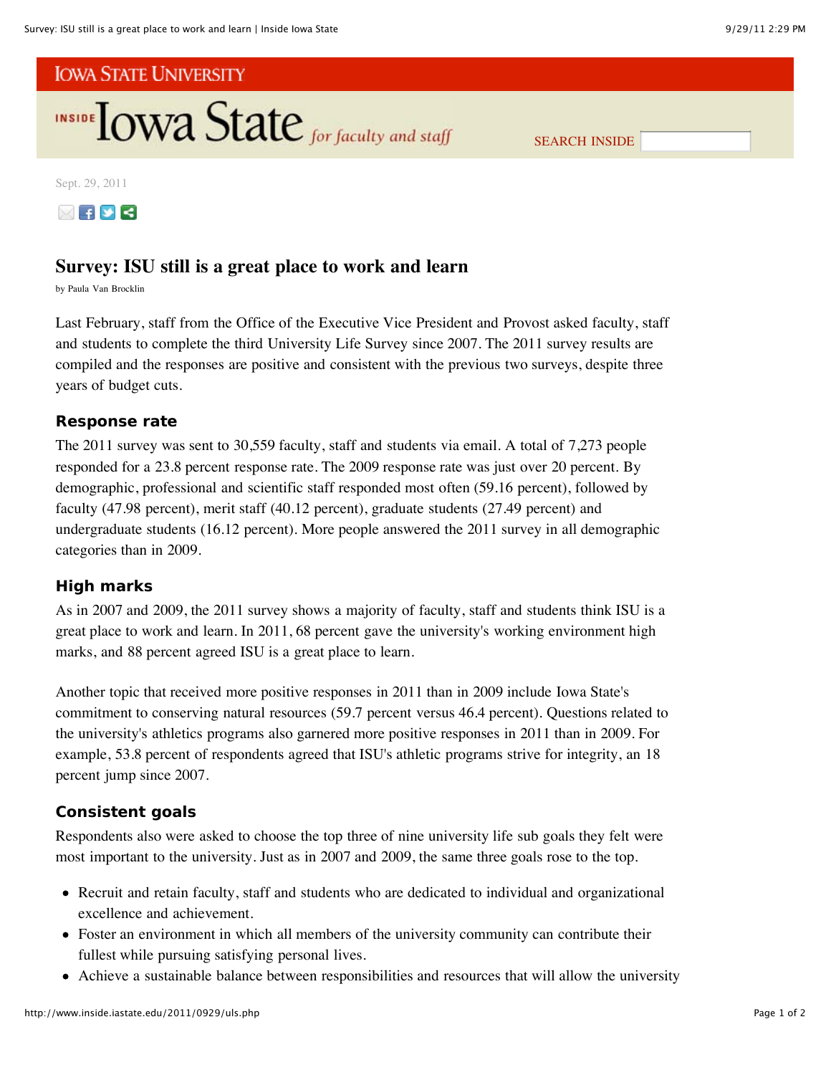

SEARCH INSIDE

Sept. 29, 2011



# **Survey: ISU still is a great place to work and learn**

by Paula Van Brocklin

Last February, staff from the Office of the Executive Vice President and Provost asked faculty, staff and students to complete the third University Life Survey since 2007. The 2011 survey results are compiled and the responses are positive and consistent with the previous two surveys, despite three years of budget cuts.

# **Response rate**

The 2011 survey was sent to 30,559 faculty, staff and students via email. A total of 7,273 people responded for a 23.8 percent response rate. The 2009 response rate was just over 20 percent. By demographic, professional and scientific staff responded most often (59.16 percent), followed by faculty (47.98 percent), merit staff (40.12 percent), graduate students (27.49 percent) and undergraduate students (16.12 percent). More people answered the 2011 survey in all demographic categories than in 2009.

# **High marks**

As in 2007 and 2009, the 2011 survey shows a majority of faculty, staff and students think ISU is a great place to work and learn. In 2011, 68 percent gave the university's working environment high marks, and 88 percent agreed ISU is a great place to learn.

Another topic that received more positive responses in 2011 than in 2009 include Iowa State's commitment to conserving natural resources (59.7 percent versus 46.4 percent). Questions related to the university's athletics programs also garnered more positive responses in 2011 than in 2009. For example, 53.8 percent of respondents agreed that ISU's athletic programs strive for integrity, an 18 percent jump since 2007.

# **Consistent goals**

Respondents also were asked to choose the top three of nine university life sub goals they felt were most important to the university. Just as in 2007 and 2009, the same three goals rose to the top.

- Recruit and retain faculty, staff and students who are dedicated to individual and organizational excellence and achievement.
- Foster an environment in which all members of the university community can contribute their fullest while pursuing satisfying personal lives.
- Achieve a sustainable balance between responsibilities and resources that will allow the university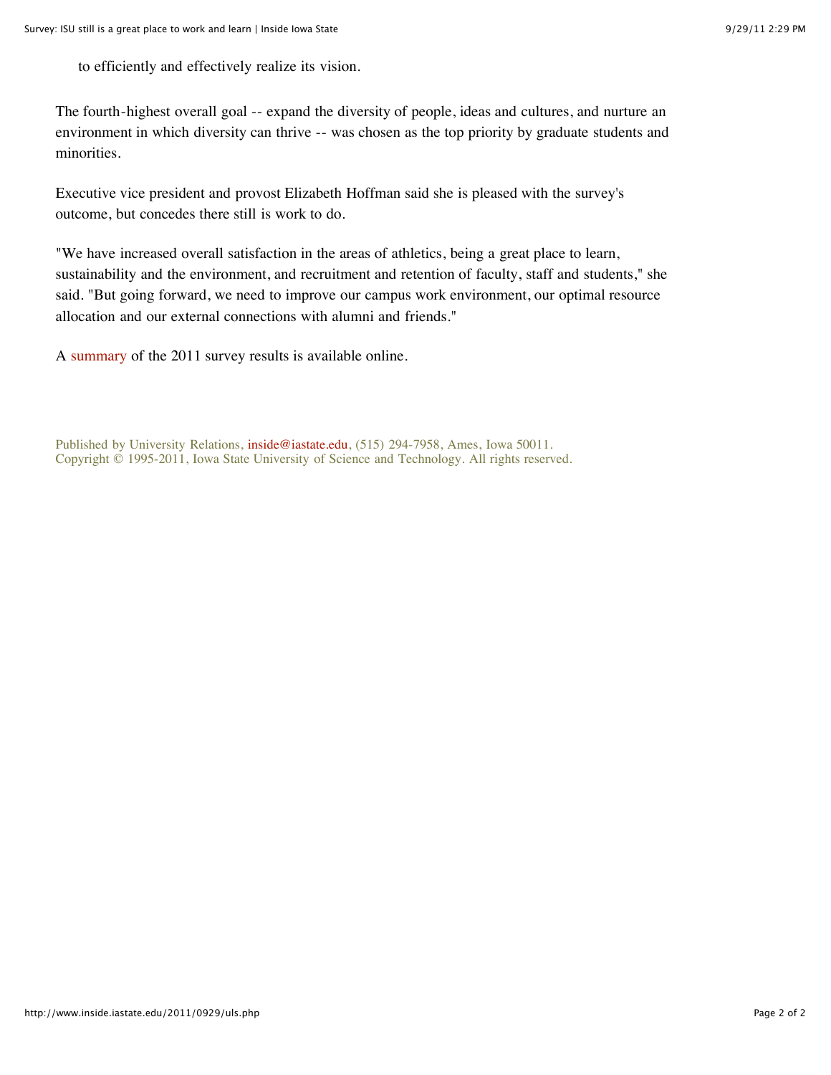to efficiently and effectively realize its vision.

The fourth-highest overall goal -- expand the diversity of people, ideas and cultures, and nurture an environment in which diversity can thrive -- was chosen as the top priority by graduate students and minorities.

Executive vice president and provost Elizabeth Hoffman said she is pleased with the survey's outcome, but concedes there still is work to do.

"We have increased overall satisfaction in the areas of athletics, being a great place to learn, sustainability and the environment, and recruitment and retention of faculty, staff and students," she said. "But going forward, we need to improve our campus work environment, our optimal resource allocation and our external connections with alumni and friends."

A summary of the 2011 survey results is available online.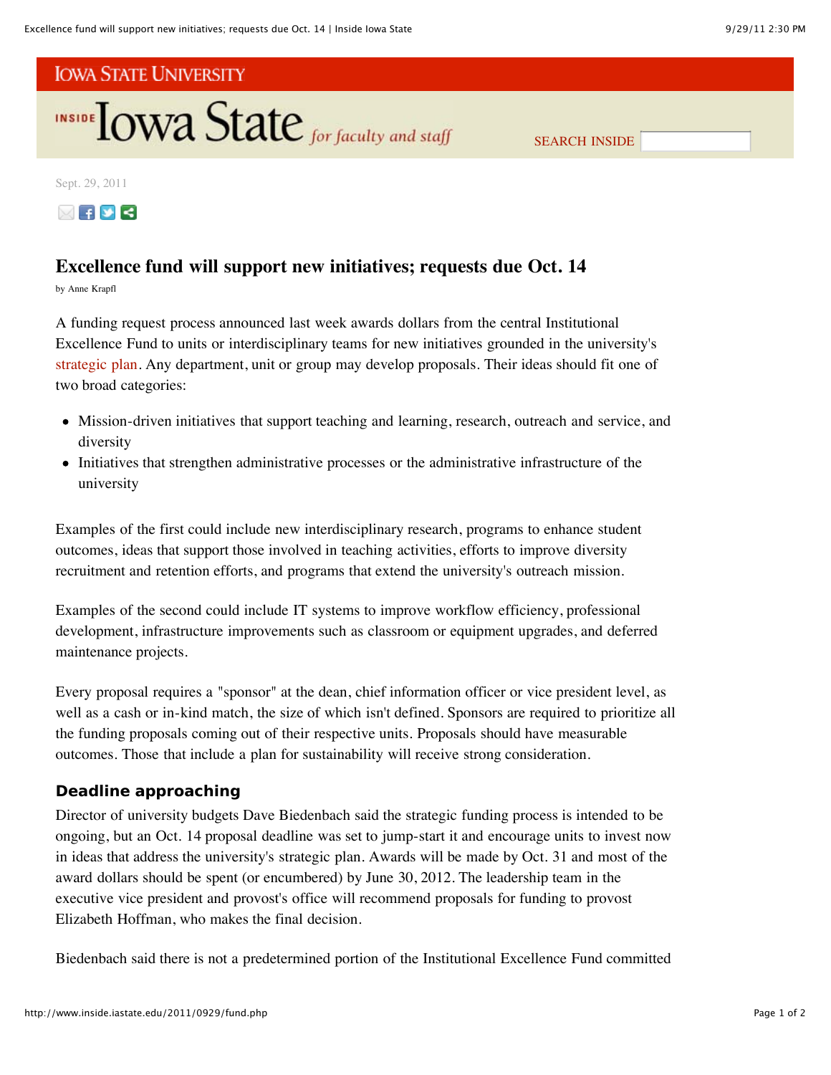

SEARCH INSIDE

Sept. 29, 2011



# **Excellence fund will support new initiatives; requests due Oct. 14**

by Anne Krapfl

A funding request process announced last week awards dollars from the central Institutional Excellence Fund to units or interdisciplinary teams for new initiatives grounded in the university's strategic plan. Any department, unit or group may develop proposals. Their ideas should fit one of two broad categories:

- Mission-driven initiatives that support teaching and learning, research, outreach and service, and diversity
- Initiatives that strengthen administrative processes or the administrative infrastructure of the university

Examples of the first could include new interdisciplinary research, programs to enhance student outcomes, ideas that support those involved in teaching activities, efforts to improve diversity recruitment and retention efforts, and programs that extend the university's outreach mission.

Examples of the second could include IT systems to improve workflow efficiency, professional development, infrastructure improvements such as classroom or equipment upgrades, and deferred maintenance projects.

Every proposal requires a "sponsor" at the dean, chief information officer or vice president level, as well as a cash or in-kind match, the size of which isn't defined. Sponsors are required to prioritize all the funding proposals coming out of their respective units. Proposals should have measurable outcomes. Those that include a plan for sustainability will receive strong consideration.

# **Deadline approaching**

Director of university budgets Dave Biedenbach said the strategic funding process is intended to be ongoing, but an Oct. 14 proposal deadline was set to jump-start it and encourage units to invest now in ideas that address the university's strategic plan. Awards will be made by Oct. 31 and most of the award dollars should be spent (or encumbered) by June 30, 2012. The leadership team in the executive vice president and provost's office will recommend proposals for funding to provost Elizabeth Hoffman, who makes the final decision.

Biedenbach said there is not a predetermined portion of the Institutional Excellence Fund committed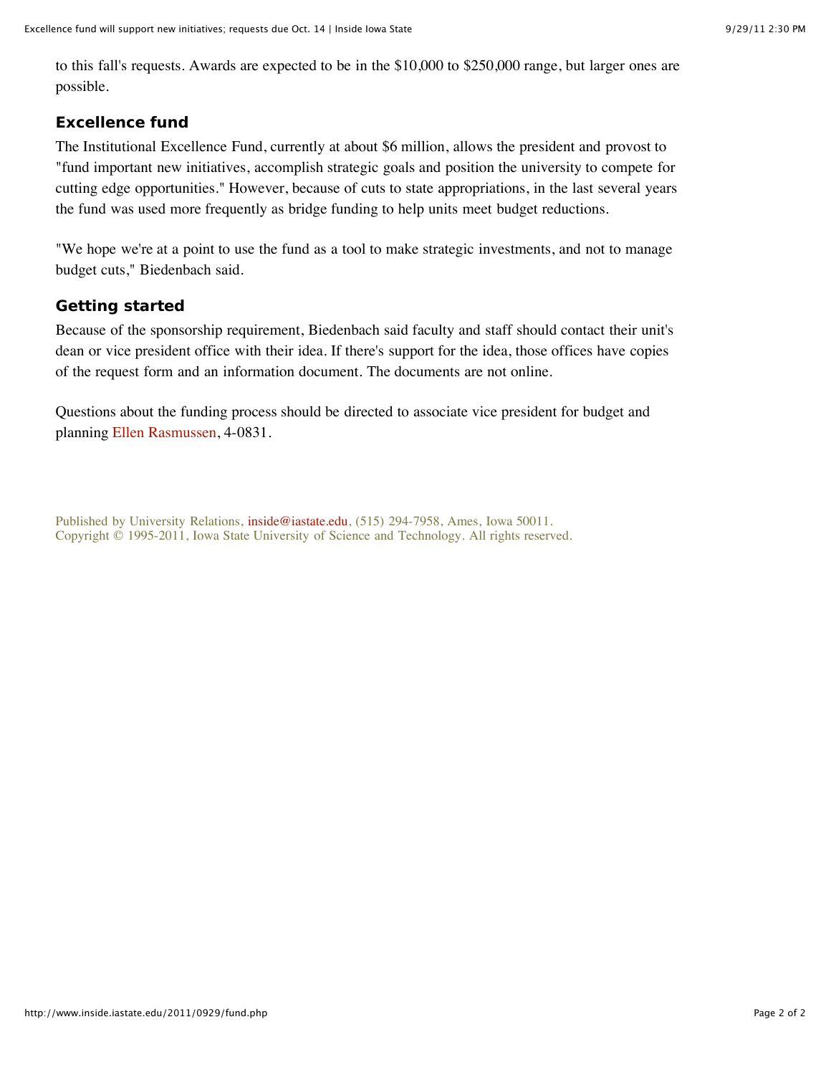to this fall's requests. Awards are expected to be in the \$10,000 to \$250,000 range, but larger ones are possible.

# **Excellence fund**

The Institutional Excellence Fund, currently at about \$6 million, allows the president and provost to "fund important new initiatives, accomplish strategic goals and position the university to compete for cutting edge opportunities." However, because of cuts to state appropriations, in the last several years the fund was used more frequently as bridge funding to help units meet budget reductions.

"We hope we're at a point to use the fund as a tool to make strategic investments, and not to manage budget cuts," Biedenbach said.

# **Getting started**

Because of the sponsorship requirement, Biedenbach said faculty and staff should contact their unit's dean or vice president office with their idea. If there's support for the idea, those offices have copies of the request form and an information document. The documents are not online.

Questions about the funding process should be directed to associate vice president for budget and planning Ellen Rasmussen, 4-0831.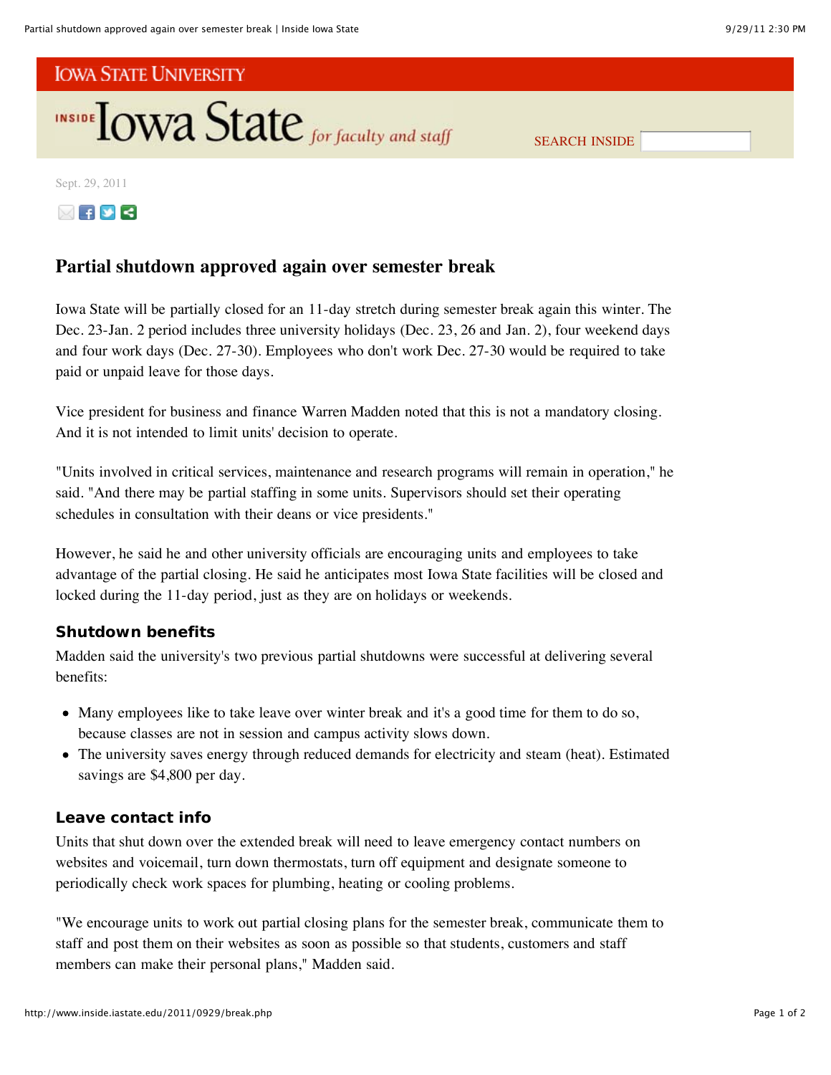

SEARCH INSIDE

Sept. 29, 2011



# **Partial shutdown approved again over semester break**

Iowa State will be partially closed for an 11-day stretch during semester break again this winter. The Dec. 23-Jan. 2 period includes three university holidays (Dec. 23, 26 and Jan. 2), four weekend days and four work days (Dec. 27-30). Employees who don't work Dec. 27-30 would be required to take paid or unpaid leave for those days.

Vice president for business and finance Warren Madden noted that this is not a mandatory closing. And it is not intended to limit units' decision to operate.

"Units involved in critical services, maintenance and research programs will remain in operation," he said. "And there may be partial staffing in some units. Supervisors should set their operating schedules in consultation with their deans or vice presidents."

However, he said he and other university officials are encouraging units and employees to take advantage of the partial closing. He said he anticipates most Iowa State facilities will be closed and locked during the 11-day period, just as they are on holidays or weekends.

# **Shutdown benefits**

Madden said the university's two previous partial shutdowns were successful at delivering several benefits:

- Many employees like to take leave over winter break and it's a good time for them to do so, because classes are not in session and campus activity slows down.
- The university saves energy through reduced demands for electricity and steam (heat). Estimated savings are \$4,800 per day.

# **Leave contact info**

Units that shut down over the extended break will need to leave emergency contact numbers on websites and voicemail, turn down thermostats, turn off equipment and designate someone to periodically check work spaces for plumbing, heating or cooling problems.

"We encourage units to work out partial closing plans for the semester break, communicate them to staff and post them on their websites as soon as possible so that students, customers and staff members can make their personal plans," Madden said.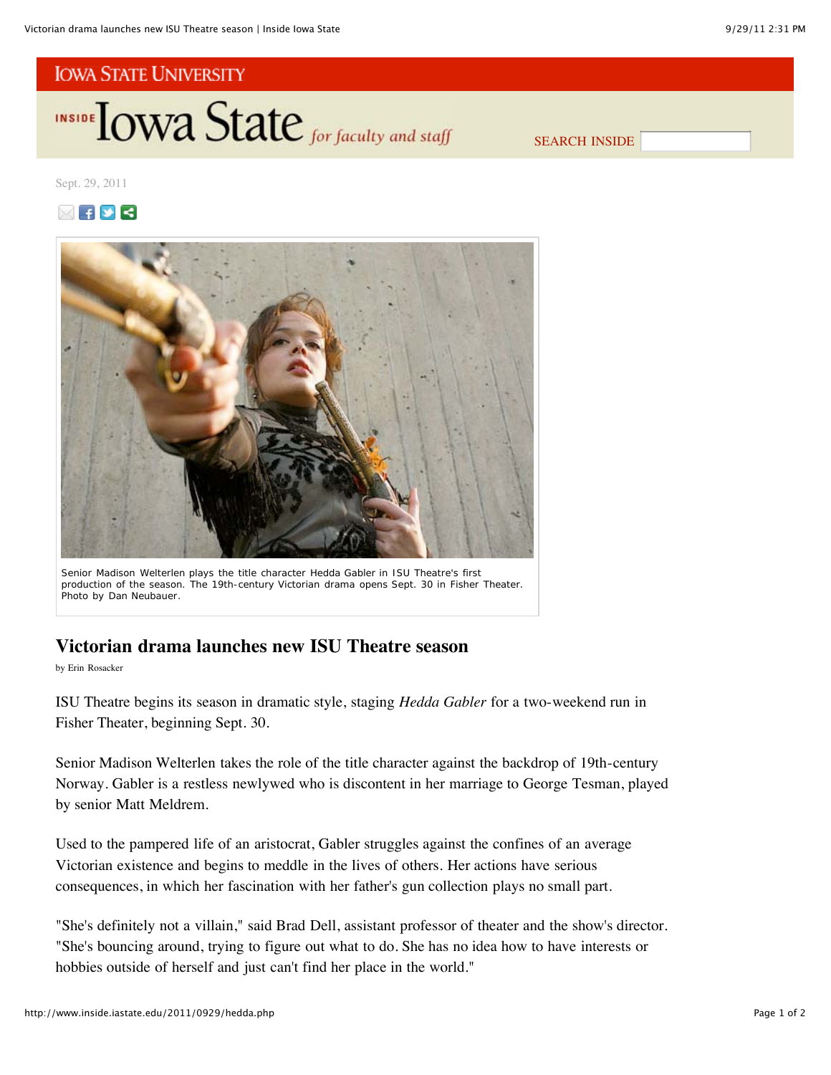**INSIDE TOWA State** for faculty and staff

SEARCH INSIDE

Sept. 29, 2011





Senior Madison Welterlen plays the title character Hedda Gabler in ISU Theatre's first production of the season. The 19th-century Victorian drama opens Sept. 30 in Fisher Theater. *Photo by Dan Neubauer*.

# **Victorian drama launches new ISU Theatre season**

by Erin Rosacker

ISU Theatre begins its season in dramatic style, staging *Hedda Gabler* for a two-weekend run in Fisher Theater, beginning Sept. 30.

Senior Madison Welterlen takes the role of the title character against the backdrop of 19th-century Norway. Gabler is a restless newlywed who is discontent in her marriage to George Tesman, played by senior Matt Meldrem.

Used to the pampered life of an aristocrat, Gabler struggles against the confines of an average Victorian existence and begins to meddle in the lives of others. Her actions have serious consequences, in which her fascination with her father's gun collection plays no small part.

"She's definitely not a villain," said Brad Dell, assistant professor of theater and the show's director. "She's bouncing around, trying to figure out what to do. She has no idea how to have interests or hobbies outside of herself and just can't find her place in the world."